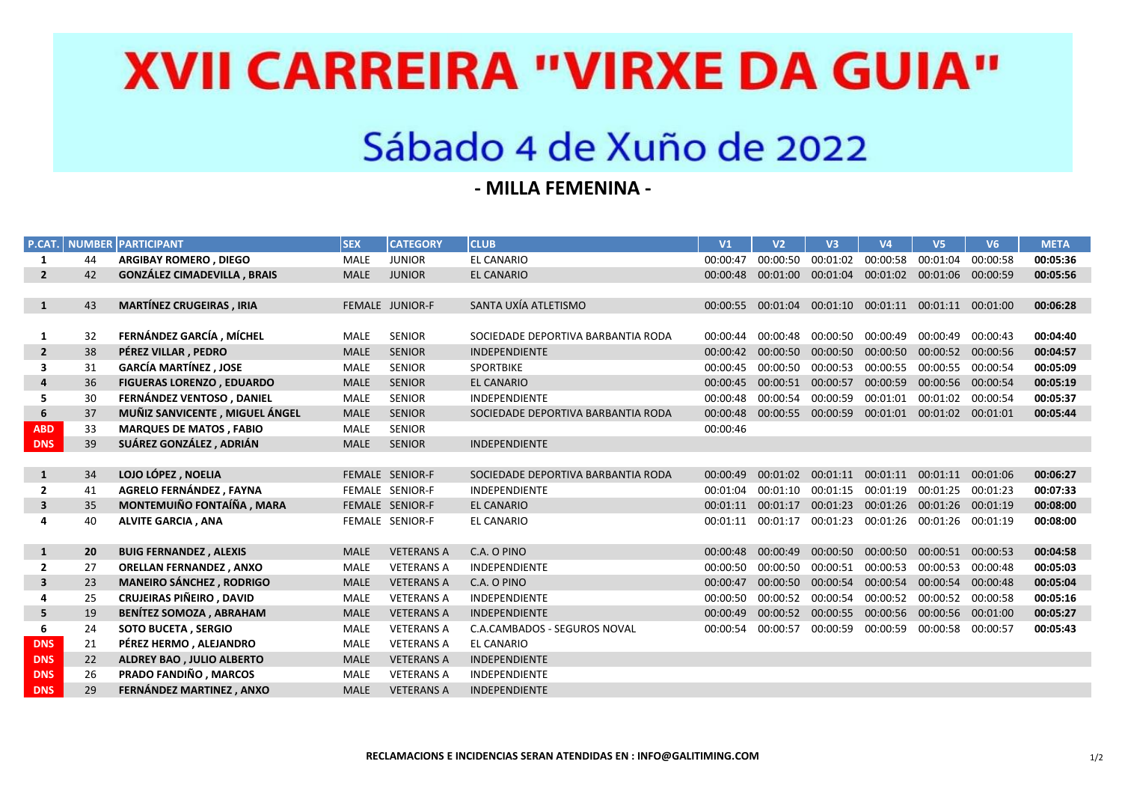# **XVII CARREIRA "VIRXE DA GUIA"**

### Sábado 4 de Xuño de 2022

#### **- MILLA FEMENINA -**

| P.CAT.                  |    | <b>NUMBER PARTICIPANT</b>          | <b>SEX</b>  | <b>CATEGORY</b>   | <b>CLUB</b>                        | V1       | V <sub>2</sub> | V3                | V <sub>4</sub>                                        | V <sub>5</sub>    | V <sub>6</sub> | <b>META</b> |
|-------------------------|----|------------------------------------|-------------|-------------------|------------------------------------|----------|----------------|-------------------|-------------------------------------------------------|-------------------|----------------|-------------|
| 1                       | 44 | <b>ARGIBAY ROMERO, DIEGO</b>       | MALE        | <b>JUNIOR</b>     | EL CANARIO                         | 00:00:47 | 00:00:50       | 00:01:02          | 00:00:58 00:01:04                                     |                   | 00:00:58       | 00:05:36    |
| $\overline{2}$          | 42 | <b>GONZÁLEZ CIMADEVILLA, BRAIS</b> | <b>MALE</b> | <b>JUNIOR</b>     | <b>EL CANARIO</b>                  | 00:00:48 | 00:01:00       | 00:01:04 00:01:02 |                                                       | 00:01:06          | 00:00:59       | 00:05:56    |
|                         |    |                                    |             |                   |                                    |          |                |                   |                                                       |                   |                |             |
| $\mathbf{1}$            | 43 | <b>MARTÍNEZ CRUGEIRAS, IRIA</b>    |             | FEMALE JUNIOR-F   | SANTA UXÍA ATLETISMO               |          |                |                   | 00:00:55 00:01:04 00:01:10 00:01:11 00:01:11 00:01:00 |                   |                | 00:06:28    |
|                         |    |                                    |             |                   |                                    |          |                |                   |                                                       |                   |                |             |
| 1                       | 32 | FERNÁNDEZ GARCÍA, MÍCHEL           | MALE        | <b>SENIOR</b>     | SOCIEDADE DEPORTIVA BARBANTIA RODA | 00:00:44 | 00:00:48       | 00:00:50 00:00:49 |                                                       | 00:00:49          | 00:00:43       | 00:04:40    |
| $\overline{2}$          | 38 | PÉREZ VILLAR, PEDRO                | <b>MALE</b> | <b>SENIOR</b>     | <b>INDEPENDIENTE</b>               | 00:00:42 | 00:00:50       | 00:00:50 00:00:50 |                                                       | 00:00:52          | 00:00:56       | 00:04:57    |
| 3                       | 31 | <b>GARCÍA MARTÍNEZ . JOSE</b>      | <b>MALE</b> | <b>SENIOR</b>     | <b>SPORTBIKE</b>                   | 00:00:45 | 00:00:50       | 00:00:53          | 00:00:55                                              | 00:00:55          | 00:00:54       | 00:05:09    |
| 4                       | 36 | <b>FIGUERAS LORENZO, EDUARDO</b>   | <b>MALE</b> | <b>SENIOR</b>     | <b>EL CANARIO</b>                  | 00:00:45 | 00:00:51       | 00:00:57          | 00:00:59                                              | 00:00:56          | 00:00:54       | 00:05:19    |
| 5                       | 30 | FERNÁNDEZ VENTOSO, DANIEL          | <b>MALE</b> | <b>SENIOR</b>     | <b>INDEPENDIENTE</b>               | 00:00:48 | 00:00:54       | 00:00:59          | 00:01:01                                              | 00:01:02          | 00:00:54       | 00:05:37    |
| 6                       | 37 | MUÑIZ SANVICENTE, MIGUEL ÁNGEL     | <b>MALE</b> | <b>SENIOR</b>     | SOCIEDADE DEPORTIVA BARBANTIA RODA | 00:00:48 |                |                   | 00:00:55 00:00:59 00:01:01                            | 00:01:02 00:01:01 |                | 00:05:44    |
| <b>ABD</b>              | 33 | <b>MARQUES DE MATOS, FABIO</b>     | <b>MALE</b> | <b>SENIOR</b>     |                                    | 00:00:46 |                |                   |                                                       |                   |                |             |
| <b>DNS</b>              | 39 | SUÁREZ GONZÁLEZ, ADRIÁN            | <b>MALE</b> | <b>SENIOR</b>     | <b>INDEPENDIENTE</b>               |          |                |                   |                                                       |                   |                |             |
|                         |    |                                    |             |                   |                                    |          |                |                   |                                                       |                   |                |             |
| 1                       | 34 | LOJO LÓPEZ, NOELIA                 |             | FEMALE SENIOR-F   | SOCIEDADE DEPORTIVA BARBANTIA RODA | 00:00:49 | 00:01:02       | 00:01:11          | 00:01:11                                              | 00:01:11          | 00:01:06       | 00:06:27    |
| $\overline{2}$          | 41 | AGRELO FERNÁNDEZ, FAYNA            |             | FEMALE SENIOR-F   | <b>INDEPENDIENTE</b>               | 00:01:04 | 00:01:10       | 00:01:15          | 00:01:19                                              | 00:01:25          | 00:01:23       | 00:07:33    |
| $\overline{\mathbf{3}}$ | 35 | MONTEMUIÑO FONTAÍÑA, MARA          |             | FEMALE SENIOR-F   | <b>EL CANARIO</b>                  | 00:01:11 | 00:01:17       | 00:01:23          | 00:01:26                                              | 00:01:26          | 00:01:19       | 00:08:00    |
| 4                       | 40 | <b>ALVITE GARCIA, ANA</b>          |             | FEMALE SENIOR-F   | <b>EL CANARIO</b>                  | 00:01:11 | 00:01:17       | 00:01:23          | 00:01:26                                              | 00:01:26          | 00:01:19       | 00:08:00    |
|                         |    |                                    |             |                   |                                    |          |                |                   |                                                       |                   |                |             |
| $\mathbf{1}$            | 20 | <b>BUIG FERNANDEZ, ALEXIS</b>      | <b>MALE</b> | <b>VETERANS A</b> | C.A. O PINO                        | 00:00:48 | 00:00:49       | 00:00:50          | 00:00:50                                              | 00:00:51          | 00:00:53       | 00:04:58    |
| $\mathbf{2}$            | 27 | <b>ORELLAN FERNANDEZ, ANXO</b>     | MALE        | <b>VETERANS A</b> | <b>INDEPENDIENTE</b>               | 00:00:50 | 00:00:50       | 00:00:51          | 00:00:53                                              | 00:00:53          | 00:00:48       | 00:05:03    |
| $\overline{\mathbf{3}}$ | 23 | <b>MANEIRO SÁNCHEZ, RODRIGO</b>    | <b>MALE</b> | <b>VETERANS A</b> | C.A. O PINO                        | 00:00:47 | 00:00:50       | 00:00:54          | 00:00:54                                              | 00:00:54          | 00:00:48       | 00:05:04    |
|                         | 25 | <b>CRUJEIRAS PIÑEIRO . DAVID</b>   | <b>MALE</b> | <b>VETERANS A</b> | INDEPENDIENTE                      | 00:00:50 | 00:00:52       | 00:00:54          | 00:00:52                                              | 00:00:52          | 00:00:58       | 00:05:16    |
| 5                       | 19 | <b>BENÍTEZ SOMOZA, ABRAHAM</b>     | <b>MALE</b> | <b>VETERANS A</b> | <b>INDEPENDIENTE</b>               | 00:00:49 | 00:00:52       | 00:00:55          | 00:00:56                                              | 00:00:56          | 00:01:00       | 00:05:27    |
| 6                       | 24 | <b>SOTO BUCETA, SERGIO</b>         | <b>MALE</b> | <b>VETERANS A</b> | C.A.CAMBADOS - SEGUROS NOVAL       | 00:00:54 | 00:00:57       | 00:00:59          | 00:00:59                                              | 00:00:58          | 00:00:57       | 00:05:43    |
| <b>DNS</b>              | 21 | PÉREZ HERMO, ALEJANDRO             | <b>MALE</b> | <b>VETERANS A</b> | <b>EL CANARIO</b>                  |          |                |                   |                                                       |                   |                |             |
| <b>DNS</b>              | 22 | <b>ALDREY BAO, JULIO ALBERTO</b>   | <b>MALE</b> | <b>VETERANS A</b> | INDEPENDIENTE                      |          |                |                   |                                                       |                   |                |             |
| <b>DNS</b>              | 26 | PRADO FANDIÑO, MARCOS              | MALE        | <b>VETERANS A</b> | INDEPENDIENTE                      |          |                |                   |                                                       |                   |                |             |
| <b>DNS</b>              | 29 | FERNÁNDEZ MARTINEZ, ANXO           | <b>MALE</b> | <b>VETERANS A</b> | INDEPENDIENTE                      |          |                |                   |                                                       |                   |                |             |